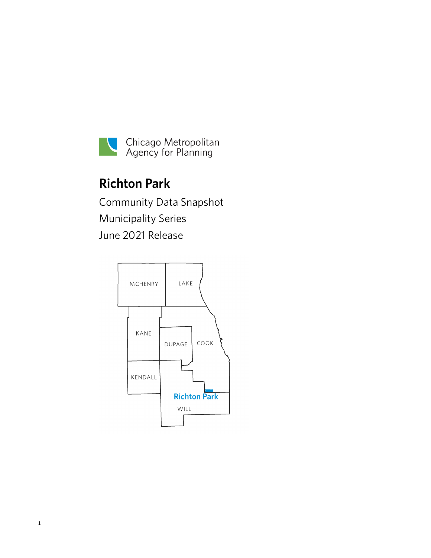

# **Richton Park**

Community Data Snapshot Municipality Series June 2021 Release

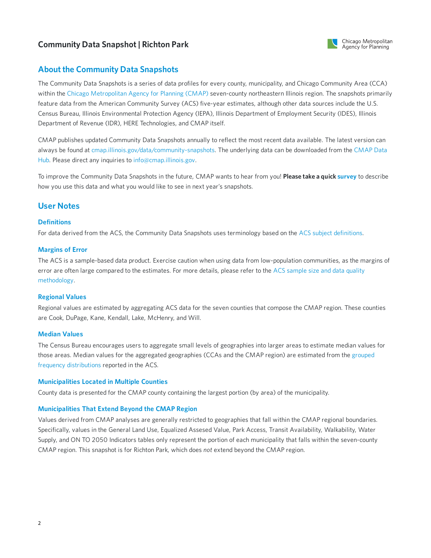

## **About the Community Data Snapshots**

The Community Data Snapshots is a series of data profiles for every county, municipality, and Chicago Community Area (CCA) within the Chicago [Metropolitan](https://www.cmap.illinois.gov) Agency for Planning (CMAP) seven-county northeastern Illinois region. The snapshots primarily feature data from the American Community Survey (ACS) five-year estimates, although other data sources include the U.S. Census Bureau, Illinois Environmental Protection Agency (IEPA), Illinois Department of Employment Security (IDES), Illinois Department of Revenue (IDR), HERE Technologies, and CMAP itself.

CMAP publishes updated Community Data Snapshots annually to reflect the most recent data available. The latest version can always be found at [cmap.illinois.gov/data/community-snapshots.](https://datahub.cmap.illinois.gov/dataset/community-data-snapshots-raw-data) The underlying data can be downloaded from the CMAP Data Hub. Please direct any inquiries to [info@cmap.illinois.gov](mailto:info@cmap.illinois.gov?subject=Community%20Data%20Snapshots).

To improve the Community Data Snapshots in the future, CMAP wants to hear from you! **Please take a quick [survey](https://www.surveymonkey.com/r/339KXSH)** to describe how you use this data and what you would like to see in next year's snapshots.

## **User Notes**

## **Definitions**

For data derived from the ACS, the Community Data Snapshots uses terminology based on the ACS subject [definitions](https://www2.census.gov/programs-surveys/acs/tech_docs/subject_definitions/2019_ACSSubjectDefinitions.pdf).

## **Margins of Error**

The ACS is a sample-based data product. Exercise caution when using data from low-population communities, as the margins of error are often large compared to the estimates. For more details, please refer to the ACS sample size and data quality [methodology.](https://www.census.gov/acs/www/methodology/sample-size-and-data-quality)

## **Regional Values**

Regional values are estimated by aggregating ACS data for the seven counties that compose the CMAP region. These counties are Cook, DuPage, Kane, Kendall, Lake, McHenry, and Will.

## **Median Values**

The Census Bureau encourages users to aggregate small levels of geographies into larger areas to estimate median values for those areas. Median values for the aggregated [geographies](https://en.wikipedia.org/wiki/Grouped_data) (CCAs and the CMAP region) are estimated from the grouped frequency distributions reported in the ACS.

## **Municipalities Located in Multiple Counties**

County data is presented for the CMAP county containing the largest portion (by area) of the municipality.

## **Municipalities That Extend Beyond the CMAP Region**

Values derived from CMAP analyses are generally restricted to geographies that fall within the CMAP regional boundaries. Specifically, values in the General Land Use, Equalized Assesed Value, Park Access, Transit Availability, Walkability, Water Supply, and ON TO 2050 Indicators tables only represent the portion of each municipality that falls within the seven-county CMAP region. This snapshot is for Richton Park, which does *not* extend beyond the CMAP region.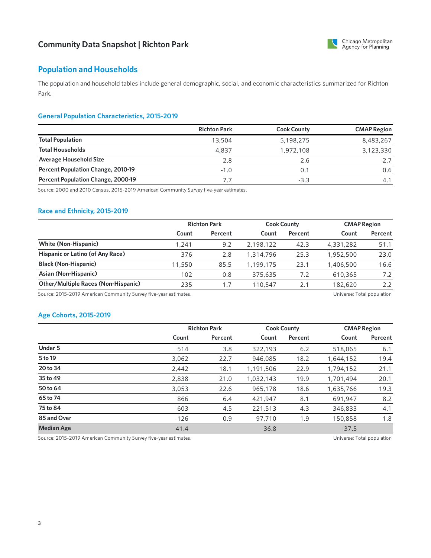

## **Population and Households**

The population and household tables include general demographic, social, and economic characteristics summarized for Richton Park.

## **General Population Characteristics, 2015-2019**

|                                    | <b>Richton Park</b> | <b>Cook County</b> | <b>CMAP Region</b> |
|------------------------------------|---------------------|--------------------|--------------------|
| <b>Total Population</b>            | 13,504              | 5,198,275          | 8,483,267          |
| <b>Total Households</b>            | 4,837               | 1,972,108          | 3,123,330          |
| <b>Average Household Size</b>      | 2.8                 | 2.6                |                    |
| Percent Population Change, 2010-19 | $-1.0$              | 0.1                | 0.6                |
| Percent Population Change, 2000-19 | 7.7                 | $-3.3$             | 4.1                |

Source: 2000 and 2010 Census, 2015-2019 American Community Survey five-year estimates.

## **Race and Ethnicity, 2015-2019**

|                                            | <b>Richton Park</b> |         | <b>Cook County</b> |         | <b>CMAP Region</b> |         |
|--------------------------------------------|---------------------|---------|--------------------|---------|--------------------|---------|
|                                            | Count               | Percent | Count              | Percent | Count              | Percent |
| <b>White (Non-Hispanic)</b>                | 1.241               | 9.2     | 2,198,122          | 42.3    | 4,331,282          | 51.1    |
| Hispanic or Latino (of Any Race)           | 376                 | 2.8     | 1,314,796          | 25.3    | 1,952,500          | 23.0    |
| <b>Black (Non-Hispanic)</b>                | 11,550              | 85.5    | 1,199,175          | 23.1    | 1,406,500          | 16.6    |
| Asian (Non-Hispanic)                       | 102                 | 0.8     | 375,635            | 7.2     | 610,365            | 7.2     |
| <b>Other/Multiple Races (Non-Hispanic)</b> | 235                 | 1.7     | 110,547            | 2.1     | 182,620            | 2.2     |

Source: 2015-2019 American Community Survey five-year estimates. Universe: Total population

## **Age Cohorts, 2015-2019**

|                   |       | <b>Richton Park</b> |           | <b>Cook County</b> |           | <b>CMAP Region</b> |  |
|-------------------|-------|---------------------|-----------|--------------------|-----------|--------------------|--|
|                   | Count | Percent             | Count     | Percent            | Count     | Percent            |  |
| <b>Under 5</b>    | 514   | 3.8                 | 322,193   | 6.2                | 518,065   | 6.1                |  |
| 5 to 19           | 3,062 | 22.7                | 946,085   | 18.2               | 1,644,152 | 19.4               |  |
| 20 to 34          | 2,442 | 18.1                | 1,191,506 | 22.9               | 1,794,152 | 21.1               |  |
| 35 to 49          | 2,838 | 21.0                | 1,032,143 | 19.9               | 1,701,494 | 20.1               |  |
| 50 to 64          | 3,053 | 22.6                | 965,178   | 18.6               | 1,635,766 | 19.3               |  |
| 65 to 74          | 866   | 6.4                 | 421.947   | 8.1                | 691.947   | 8.2                |  |
| 75 to 84          | 603   | 4.5                 | 221,513   | 4.3                | 346,833   | 4.1                |  |
| 85 and Over       | 126   | 0.9                 | 97,710    | 1.9                | 150,858   | 1.8                |  |
| <b>Median Age</b> | 41.4  |                     | 36.8      |                    | 37.5      |                    |  |

Source: 2015-2019 American Community Survey five-year estimates. Universe: Total population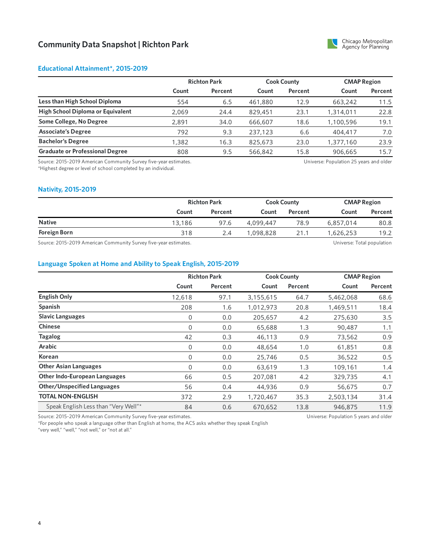

## **Educational Attainment\*, 2015-2019**

|                                        | <b>Richton Park</b> |         | <b>Cook County</b> |         | <b>CMAP Region</b> |         |
|----------------------------------------|---------------------|---------|--------------------|---------|--------------------|---------|
|                                        | Count               | Percent | Count              | Percent | Count              | Percent |
| Less than High School Diploma          | 554                 | 6.5     | 461,880            | 12.9    | 663,242            | 11.5    |
| High School Diploma or Equivalent      | 2,069               | 24.4    | 829,451            | 23.1    | 1,314,011          | 22.8    |
| Some College, No Degree                | 2.891               | 34.0    | 666,607            | 18.6    | 1,100,596          | 19.1    |
| <b>Associate's Degree</b>              | 792                 | 9.3     | 237,123            | 6.6     | 404,417            | 7.0     |
| <b>Bachelor's Degree</b>               | 1,382               | 16.3    | 825,673            | 23.0    | 1,377,160          | 23.9    |
| <b>Graduate or Professional Degree</b> | 808                 | 9.5     | 566,842            | 15.8    | 906,665            | 15.7    |

Source: 2015-2019 American Community Survey five-year estimates. \*Highest degree or level of school completed by an individual.

Universe: Population 25 years and older

#### **Nativity, 2015-2019**

|                                                        | <b>Richton Park</b> |         | <b>Cook County</b> |         | <b>CMAP Region</b> |          |
|--------------------------------------------------------|---------------------|---------|--------------------|---------|--------------------|----------|
|                                                        | Count               | Percent | Count              | Percent | Count              | Percent  |
| <b>Native</b>                                          | 13,186              | 97.6    | 4,099,447          | 78.9    | 6,857,014          | 80.8     |
| <b>Foreign Born</b>                                    | 318                 | 2.4     | 1,098,828          | 21.1    | 1,626,253          | 19.2     |
| $\sim$<br>$0.04500404$ $0.04004$<br>$\cdots$<br>$\sim$ |                     |         |                    |         | .<br>$ -$          | $\cdots$ |

Source: 2015-2019 American Community Survey five-year estimates. Universe: Total population

## **Language Spoken at Home and Ability to Speak English, 2015-2019**

|                                                                  |        | <b>Richton Park</b> |           | <b>Cook County</b> | <b>CMAP Region</b>                     |         |
|------------------------------------------------------------------|--------|---------------------|-----------|--------------------|----------------------------------------|---------|
|                                                                  | Count  | Percent             | Count     | Percent            | Count                                  | Percent |
| <b>English Only</b>                                              | 12,618 | 97.1                | 3,155,615 | 64.7               | 5,462,068                              | 68.6    |
| Spanish                                                          | 208    | 1.6                 | 1,012,973 | 20.8               | 1,469,511                              | 18.4    |
| <b>Slavic Languages</b>                                          | 0      | 0.0                 | 205,657   | 4.2                | 275,630                                | 3.5     |
| <b>Chinese</b>                                                   | 0      | 0.0                 | 65,688    | 1.3                | 90,487                                 | 1.1     |
| <b>Tagalog</b>                                                   | 42     | 0.3                 | 46,113    | 0.9                | 73,562                                 | 0.9     |
| Arabic                                                           | 0      | 0.0                 | 48,654    | 1.0                | 61,851                                 | 0.8     |
| Korean                                                           | 0      | 0.0                 | 25,746    | 0.5                | 36,522                                 | 0.5     |
| <b>Other Asian Languages</b>                                     | 0      | 0.0                 | 63,619    | 1.3                | 109,161                                | 1.4     |
| <b>Other Indo-European Languages</b>                             | 66     | 0.5                 | 207,081   | 4.2                | 329,735                                | 4.1     |
| <b>Other/Unspecified Languages</b>                               | 56     | 0.4                 | 44,936    | 0.9                | 56,675                                 | 0.7     |
| <b>TOTAL NON-ENGLISH</b>                                         | 372    | 2.9                 | 1,720,467 | 35.3               | 2,503,134                              | 31.4    |
| Speak English Less than "Very Well"*                             | 84     | 0.6                 | 670,652   | 13.8               | 946,875                                | 11.9    |
| Source: 2015-2019 American Community Survey five-year estimates. |        |                     |           |                    | Universe: Population 5 years and older |         |

Source: 2015-2019 American Community Survey five-year estimates.

\*For people who speak a language other than English at home, the ACS asks whether they speak English

"very well," "well," "not well," or "not at all."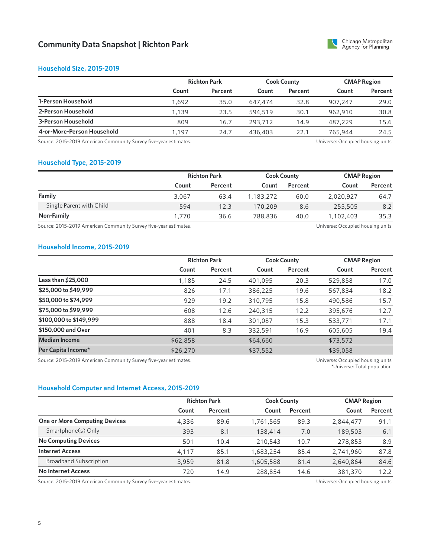

#### **Household Size, 2015-2019**

|                            | <b>Richton Park</b> |         | <b>Cook County</b> |         | <b>CMAP Region</b> |         |
|----------------------------|---------------------|---------|--------------------|---------|--------------------|---------|
|                            | Count               | Percent | Count              | Percent | Count              | Percent |
| 1-Person Household         | 1,692               | 35.0    | 647.474            | 32.8    | 907.247            | 29.0    |
| 2-Person Household         | 1,139               | 23.5    | 594.519            | 30.1    | 962.910            | 30.8    |
| 3-Person Household         | 809                 | 16.7    | 293,712            | 14.9    | 487.229            | 15.6    |
| 4-or-More-Person Household | 1,197               | 24.7    | 436,403            | 22.1    | 765,944            | 24.5    |

Source: 2015-2019 American Community Survey five-year estimates. 
<br>
Source: 2015-2019 American Community Survey five-year estimates.

## **Household Type, 2015-2019**

|                          |       | <b>Richton Park</b> |           | <b>Cook County</b> |           | <b>CMAP Region</b> |  |
|--------------------------|-------|---------------------|-----------|--------------------|-----------|--------------------|--|
|                          | Count | Percent             | Count     | Percent            | Count     | Percent            |  |
| Family                   | 3.067 | 63.4                | 1.183.272 | 60.0               | 2,020,927 | 64.7               |  |
| Single Parent with Child | 594   | 12.3                | 170,209   | 8.6                | 255,505   | 8.2                |  |
| Non-Family               | 1.770 | 36.6                | 788,836   | 40.0               | 1,102,403 | 35.3               |  |
|                          |       |                     |           |                    |           |                    |  |

Source: 2015-2019 American Community Survey five-year estimates. The material community Survey five-year estimates.

#### **Household Income, 2015-2019**

|                        |          | <b>Richton Park</b> |          | <b>Cook County</b> |          | <b>CMAP Region</b> |  |
|------------------------|----------|---------------------|----------|--------------------|----------|--------------------|--|
|                        | Count    | Percent             | Count    | Percent            | Count    | Percent            |  |
| Less than \$25,000     | 1,185    | 24.5                | 401,095  | 20.3               | 529,858  | 17.0               |  |
| \$25,000 to \$49,999   | 826      | 17.1                | 386,225  | 19.6               | 567,834  | 18.2               |  |
| \$50,000 to \$74,999   | 929      | 19.2                | 310,795  | 15.8               | 490,586  | 15.7               |  |
| \$75,000 to \$99,999   | 608      | 12.6                | 240,315  | 12.2               | 395,676  | 12.7               |  |
| \$100,000 to \$149,999 | 888      | 18.4                | 301,087  | 15.3               | 533,771  | 17.1               |  |
| \$150,000 and Over     | 401      | 8.3                 | 332,591  | 16.9               | 605,605  | 19.4               |  |
| <b>Median Income</b>   | \$62,858 |                     | \$64,660 |                    | \$73,572 |                    |  |
| Per Capita Income*     | \$26,270 |                     | \$37,552 |                    | \$39,058 |                    |  |

Source: 2015-2019 American Community Survey five-year estimates. Universe: Occupied housing units

\*Universe: Total population

## **Household Computer and Internet Access, 2015-2019**

|                                      | <b>Richton Park</b> |         |           | <b>Cook County</b> |           | <b>CMAP Region</b> |  |
|--------------------------------------|---------------------|---------|-----------|--------------------|-----------|--------------------|--|
|                                      | Count               | Percent | Count     | Percent            | Count     | Percent            |  |
| <b>One or More Computing Devices</b> | 4,336               | 89.6    | 1,761,565 | 89.3               | 2,844,477 | 91.1               |  |
| Smartphone(s) Only                   | 393                 | 8.1     | 138,414   | 7.0                | 189,503   | 6.1                |  |
| <b>No Computing Devices</b>          | 501                 | 10.4    | 210,543   | 10.7               | 278,853   | 8.9                |  |
| <b>Internet Access</b>               | 4,117               | 85.1    | 1,683,254 | 85.4               | 2,741,960 | 87.8               |  |
| <b>Broadband Subscription</b>        | 3.959               | 81.8    | 1,605,588 | 81.4               | 2,640,864 | 84.6               |  |
| <b>No Internet Access</b>            | 720                 | 14.9    | 288,854   | 14.6               | 381,370   | 12.2               |  |

Source: 2015-2019 American Community Survey five-year estimates. The Mateur of the Mateus of the Universe: Occupied housing units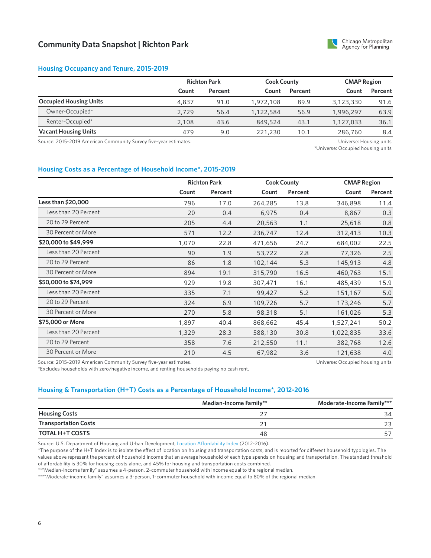

#### **Housing Occupancy and Tenure, 2015-2019**

|                               |       | <b>Richton Park</b> |           | <b>Cook County</b> |           | <b>CMAP Region</b> |  |
|-------------------------------|-------|---------------------|-----------|--------------------|-----------|--------------------|--|
|                               | Count | Percent             | Count     | Percent            | Count     | Percent            |  |
| <b>Occupied Housing Units</b> | 4.837 | 91.0                | 1,972,108 | 89.9               | 3,123,330 | 91.6               |  |
| Owner-Occupied*               | 2.729 | 56.4                | 1,122,584 | 56.9               | 1,996,297 | 63.9               |  |
| Renter-Occupied*              | 2.108 | 43.6                | 849,524   | 43.1               | 1,127,033 | 36.1               |  |
| <b>Vacant Housing Units</b>   | 479   | 9.0                 | 221,230   | 10.1               | 286,760   | 8.4                |  |

Source: 2015-2019 American Community Survey five-year estimates. Universe: Housing units

\*Universe: Occupied housing units

#### **Housing Costs as a Percentage of Household Income\*, 2015-2019**

|                      |       | <b>Richton Park</b> |         | <b>Cook County</b> | <b>CMAP Region</b> |         |
|----------------------|-------|---------------------|---------|--------------------|--------------------|---------|
|                      | Count | Percent             | Count   | Percent            | Count              | Percent |
| Less than \$20,000   | 796   | 17.0                | 264,285 | 13.8               | 346,898            | 11.4    |
| Less than 20 Percent | 20    | 0.4                 | 6,975   | 0.4                | 8,867              | 0.3     |
| 20 to 29 Percent     | 205   | 4.4                 | 20,563  | 1.1                | 25,618             | 0.8     |
| 30 Percent or More   | 571   | 12.2                | 236,747 | 12.4               | 312,413            | 10.3    |
| \$20,000 to \$49,999 | 1,070 | 22.8                | 471,656 | 24.7               | 684,002            | 22.5    |
| Less than 20 Percent | 90    | 1.9                 | 53,722  | 2.8                | 77,326             | 2.5     |
| 20 to 29 Percent     | 86    | 1.8                 | 102,144 | 5.3                | 145,913            | 4.8     |
| 30 Percent or More   | 894   | 19.1                | 315,790 | 16.5               | 460,763            | 15.1    |
| \$50,000 to \$74,999 | 929   | 19.8                | 307,471 | 16.1               | 485,439            | 15.9    |
| Less than 20 Percent | 335   | 7.1                 | 99,427  | 5.2                | 151,167            | 5.0     |
| 20 to 29 Percent     | 324   | 6.9                 | 109,726 | 5.7                | 173,246            | 5.7     |
| 30 Percent or More   | 270   | 5.8                 | 98,318  | 5.1                | 161,026            | 5.3     |
| \$75,000 or More     | 1,897 | 40.4                | 868,662 | 45.4               | 1,527,241          | 50.2    |
| Less than 20 Percent | 1,329 | 28.3                | 588,130 | 30.8               | 1,022,835          | 33.6    |
| 20 to 29 Percent     | 358   | 7.6                 | 212,550 | 11.1               | 382,768            | 12.6    |
| 30 Percent or More   | 210   | 4.5                 | 67,982  | 3.6                | 121,638            | 4.0     |

Source: 2015-2019 American Community Survey five-year estimates.

\*Excludes households with zero/negative income, and renting households paying no cash rent.

Universe: Occupied housing units

#### **Housing & Transportation (H+T) Costs as a Percentage of Household Income\*, 2012-2016**

|                             | Median-Income Family** | Moderate-Income Family*** |
|-----------------------------|------------------------|---------------------------|
| <b>Housing Costs</b>        |                        | 34                        |
| <b>Transportation Costs</b> |                        |                           |
| <b>TOTAL H+T COSTS</b>      | 48                     |                           |

Source: U.S. Department of Housing and Urban Development, Location [Affordability](https://www.hudexchange.info/programs/location-affordability-index) Index (2012-2016).

\*The purpose of the H+T Index is to isolate the effect of location on housing and transportation costs, and is reported for different household typologies. The values above represent the percent of household income that an average household of each type spends on housing and transportation. The standard threshold of affordability is 30% for housing costs alone, and 45% for housing and transportation costs combined.

\*\*"Median-income family" assumes a 4-person, 2-commuter household with income equal to the regional median.

\*\*\*"Moderate-income family" assumes a 3-person, 1-commuter household with income equal to 80% of the regional median.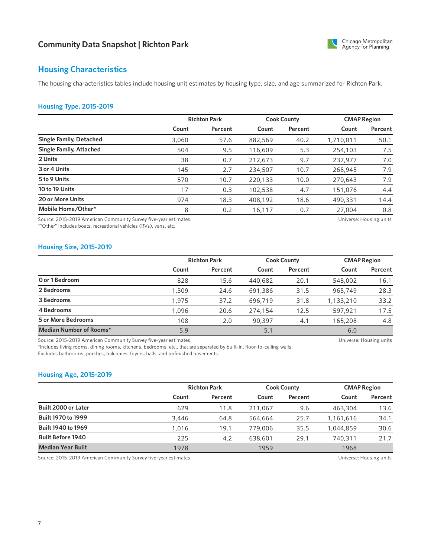

## **Housing Characteristics**

The housing characteristics tables include housing unit estimates by housing type, size, and age summarized for Richton Park.

## **Housing Type, 2015-2019**

|                                |       | <b>Richton Park</b> |         | <b>Cook County</b> |           | <b>CMAP Region</b> |  |
|--------------------------------|-------|---------------------|---------|--------------------|-----------|--------------------|--|
|                                | Count | Percent             | Count   | Percent            | Count     | Percent            |  |
| <b>Single Family, Detached</b> | 3,060 | 57.6                | 882,569 | 40.2               | 1,710,011 | 50.1               |  |
| Single Family, Attached        | 504   | 9.5                 | 116,609 | 5.3                | 254,103   | 7.5                |  |
| 2 Units                        | 38    | 0.7                 | 212,673 | 9.7                | 237,977   | 7.0                |  |
| 3 or 4 Units                   | 145   | 2.7                 | 234,507 | 10.7               | 268,945   | 7.9                |  |
| 5 to 9 Units                   | 570   | 10.7                | 220,133 | 10.0               | 270,643   | 7.9                |  |
| 10 to 19 Units                 | 17    | 0.3                 | 102,538 | 4.7                | 151,076   | 4.4                |  |
| 20 or More Units               | 974   | 18.3                | 408,192 | 18.6               | 490,331   | 14.4               |  |
| Mobile Home/Other*             | 8     | 0.2                 | 16,117  | 0.7                | 27,004    | 0.8                |  |

Source: 2015-2019 American Community Survey five-year estimates.

\*"Other" includes boats, recreational vehicles (RVs), vans, etc.

Universe: Housing units

#### **Housing Size, 2015-2019**

|                           |       | <b>Richton Park</b> |         | <b>Cook County</b> |           | <b>CMAP Region</b> |  |
|---------------------------|-------|---------------------|---------|--------------------|-----------|--------------------|--|
|                           | Count | Percent             | Count   | Percent            | Count     | Percent            |  |
| O or 1 Bedroom            | 828   | 15.6                | 440,682 | 20.1               | 548,002   | 16.1               |  |
| 2 Bedrooms                | 1,309 | 24.6                | 691,386 | 31.5               | 965,749   | 28.3               |  |
| 3 Bedrooms                | 1.975 | 37.2                | 696,719 | 31.8               | 1,133,210 | 33.2               |  |
| 4 Bedrooms                | 1,096 | 20.6                | 274,154 | 12.5               | 597,921   | 17.5               |  |
| <b>5 or More Bedrooms</b> | 108   | 2.0                 | 90,397  | 4.1                | 165,208   | 4.8                |  |
| Median Number of Rooms*   | 5.9   |                     | 5.1     |                    | 6.0       |                    |  |

Source: 2015-2019 American Community Survey five-year estimates.

\*Includes living rooms, dining rooms, kitchens, bedrooms, etc., that are separated by built-in, floor-to-ceiling walls. Excludes bathrooms, porches, balconies, foyers, halls, and unfinished basements.

#### **Housing Age, 2015-2019**

|                           |       | <b>Richton Park</b> |         | <b>Cook County</b> |           | <b>CMAP Region</b> |  |
|---------------------------|-------|---------------------|---------|--------------------|-----------|--------------------|--|
|                           | Count | Percent             | Count   | Percent            | Count     | Percent            |  |
| Built 2000 or Later       | 629   | 11.8                | 211.067 | 9.6                | 463,304   | 13.6               |  |
| <b>Built 1970 to 1999</b> | 3,446 | 64.8                | 564,664 | 25.7               | 1,161,616 | 34.1               |  |
| Built 1940 to 1969        | 1.016 | 19.1                | 779,006 | 35.5               | 1.044.859 | 30.6               |  |
| <b>Built Before 1940</b>  | 225   | 4.2                 | 638,601 | 29.1               | 740,311   | 21.7               |  |
| <b>Median Year Built</b>  | 1978  |                     | 1959    |                    | 1968      |                    |  |

Source: 2015-2019 American Community Survey five-year estimates. Universe: Housing units

Universe: Housing units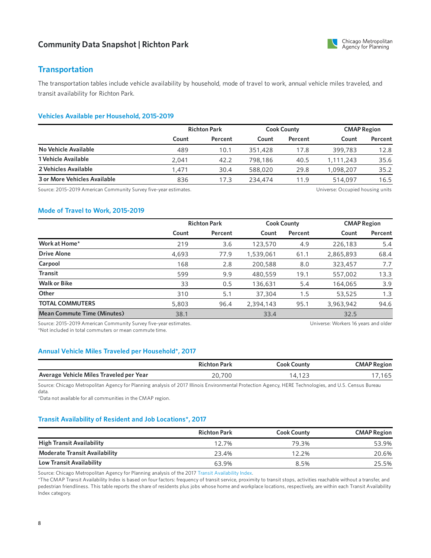

## **Transportation**

The transportation tables include vehicle availability by household, mode of travel to work, annual vehicle miles traveled, and transit availability for Richton Park.

## **Vehicles Available per Household, 2015-2019**

|                              | <b>Richton Park</b> |         | <b>Cook County</b> |         | <b>CMAP Region</b> |         |
|------------------------------|---------------------|---------|--------------------|---------|--------------------|---------|
|                              | Count               | Percent | Count              | Percent | Count              | Percent |
| No Vehicle Available         | 489                 | 10.1    | 351,428            | 17.8    | 399,783            | 12.8    |
| 1 Vehicle Available          | 2.041               | 42.2    | 798,186            | 40.5    | 1,111,243          | 35.6    |
| 2 Vehicles Available         | l.471               | 30.4    | 588,020            | 29.8    | 1,098,207          | 35.2    |
| 3 or More Vehicles Available | 836                 | 17.3    | 234,474            | 11.9    | 514,097            | 16.5    |

Source: 2015-2019 American Community Survey five-year estimates. The material community Survey five-year estimates.

#### **Mode of Travel to Work, 2015-2019**

|                                    |                                                                 | <b>Richton Park</b> |           | <b>Cook County</b> |                                     | <b>CMAP Region</b> |  |
|------------------------------------|-----------------------------------------------------------------|---------------------|-----------|--------------------|-------------------------------------|--------------------|--|
|                                    | Count                                                           | Percent             | Count     | Percent            | Count                               | Percent            |  |
| Work at Home*                      | 219                                                             | 3.6                 | 123,570   | 4.9                | 226,183                             | 5.4                |  |
| <b>Drive Alone</b>                 | 4,693                                                           | 77.9                | 1,539,061 | 61.1               | 2,865,893                           | 68.4               |  |
| Carpool                            | 168                                                             | 2.8                 | 200,588   | 8.0                | 323,457                             | 7.7                |  |
| <b>Transit</b>                     | 599                                                             | 9.9                 | 480,559   | 19.1               | 557,002                             | 13.3               |  |
| <b>Walk or Bike</b>                | 33                                                              | 0.5                 | 136.631   | 5.4                | 164,065                             | 3.9                |  |
| Other                              | 310                                                             | 5.1                 | 37,304    | 1.5                | 53,525                              | 1.3                |  |
| <b>TOTAL COMMUTERS</b>             | 5,803                                                           | 96.4                | 2,394,143 | 95.1               | 3,963,942                           | 94.6               |  |
| <b>Mean Commute Time (Minutes)</b> | 38.1                                                            |                     | 33.4      |                    | 32.5                                |                    |  |
|                                    | Source: 2015-2019 American Community Survey five-year ostimator |                     |           |                    | Universe Werkers 16 years and older |                    |  |

ource: 2015-2019 American Community Survey five-year estimates. \*Not included in total commuters or mean commute time.

Universe: Workers 16 years and older

## **Annual Vehicle Miles Traveled per Household\*, 2017**

|                                         | <b>Richton Park</b> | Cook County | <b>CMAP Region</b> |
|-----------------------------------------|---------------------|-------------|--------------------|
| Average Vehicle Miles Traveled per Year | 20,700              | .           | .165               |

Source: Chicago Metropolitan Agency for Planning analysis of 2017 Illinois Environmental Protection Agency, HERE Technologies, and U.S. Census Bureau data.

\*Data not available for all communities in the CMAP region.

## **Transit Availability of Resident and Job Locations\*, 2017**

|                                      | <b>Richton Park</b> | <b>Cook County</b> | <b>CMAP Region</b> |
|--------------------------------------|---------------------|--------------------|--------------------|
| <b>High Transit Availability</b>     | 12.7%               | 79.3%              | 53.9%              |
| <b>Moderate Transit Availability</b> | 23.4%               | 12.2%              | 20.6%              |
| Low Transit Availability             | 63.9%               | 8.5%               | 25.5%              |

Source: Chicago Metropolitan Agency for Planning analysis of the 2017 Transit [Availability](https://datahub.cmap.illinois.gov/dataset/access-to-transit-index) Index.

\*The CMAP Transit Availability Index is based on four factors: frequency of transit service, proximity to transit stops, activities reachable without a transfer, and pedestrian friendliness. This table reports the share of residents plus jobs whose home and workplace locations, respectively, are within each Transit Availability Index category.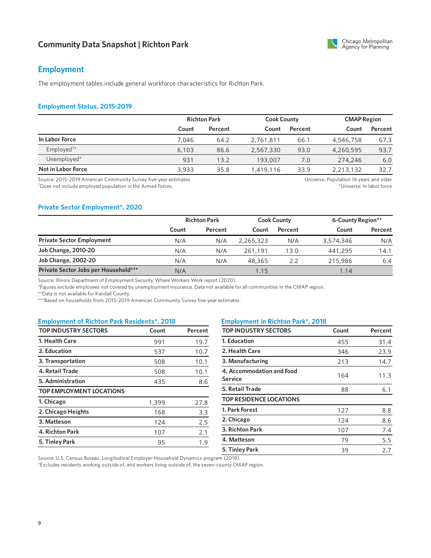## **Employment**

The employment tables include general workforce characteristics for Richton Park.

#### **Employment Status, 2015-2019**

|                                               |       | <b>Richton Park</b> |           | <b>Cook County</b> |           | <b>CMAP Region</b> |  |
|-----------------------------------------------|-------|---------------------|-----------|--------------------|-----------|--------------------|--|
|                                               | Count | Percent             | Count     | Percent            | Count     | Percent            |  |
| In Labor Force                                | 7.046 | 64.2                | 2,761,811 | 66.1               | 4,546,758 | 67.3               |  |
| Employed <sup><math>\dagger\star</math></sup> | 6,103 | 86.6                | 2,567,330 | 93.0               | 4,260,595 | 93.7               |  |
| Unemployed*                                   | 931   | 13.2                | 193,007   | 7.0                | 274,246   | 6.0                |  |
| Not in Labor Force                            | 3,933 | 35.8                | 1,419,116 | 33.9               | 2,213,132 | 32.7               |  |

Source: 2015-2019 American Community Survey five-year estimates. Does not include employed population in the Armed Forces. †

Universe: Population 16 years and older \*Universe: In labor force

#### **Private Sector Employment\*, 2020**

|                                      | <b>Richton Park</b> |         | <b>Cook County</b> |         | 6-County Region** |         |
|--------------------------------------|---------------------|---------|--------------------|---------|-------------------|---------|
|                                      | Count               | Percent | Count              | Percent | Count             | Percent |
| <b>Private Sector Employment</b>     | N/A                 | N/A     | 2,265,323          | N/A     | 3,574,346         | N/A     |
| <b>Job Change, 2010-20</b>           | N/A                 | N/A     | 261.191            | 13.0    | 441,295           | 14.1    |
| <b>Job Change, 2002-20</b>           | N/A                 | N/A     | 48,365             | 2.2     | 215,986           | 6.4     |
| Private Sector Jobs per Household*** | N/A                 |         | 1.15               |         | 1.14              |         |

Source: Illinois Department of Employment Security, Where Workers Work report (2020).

\*Figures exclude employees not covered by unemployment insurance. Data not available for all communities in the CMAP region.

\*\*Data is not available for Kendall County.

\*\*\*Based on households from 2015-2019 American Community Survey five-year estimates.

#### **Employment of Richton Park Residents\*, 2018 Employment in Richton Park\*, 2018**

| <b>TOP INDUSTRY SECTORS</b>     | Count | Percent |
|---------------------------------|-------|---------|
| 1. Health Care                  | 991   | 19.7    |
| 2. Education                    | 537   | 10.7    |
| 3. Transportation               | 508   | 10.1    |
| 4. Retail Trade                 | 508   | 10.1    |
| 5. Administration               | 435   | 8.6     |
| <b>TOP EMPLOYMENT LOCATIONS</b> |       |         |
| 1. Chicago                      | 1,399 | 27.8    |
| 2. Chicago Heights              | 168   | 3.3     |
| 3. Matteson                     | 124   | 2.5     |
| 4. Richton Park                 | 107   | 2.1     |
| 5. Tinley Park                  | 95    | 1.9     |

| <b>TOP INDUSTRY SECTORS</b>                 | Count | Percent |
|---------------------------------------------|-------|---------|
| 1. Education                                | 455   | 31.4    |
| 2. Health Care                              | 346   | 23.9    |
| 3. Manufacturing                            | 213   | 14.7    |
| 4. Accommodation and Food<br><b>Service</b> | 164   | 11.3    |
| 5. Retail Trade                             | 88    | 6.1     |
| <b>TOP RESIDENCE LOCATIONS</b>              |       |         |
| 1. Park Forest                              | 127   | 8.8     |
| 2. Chicago                                  | 124   | 8.6     |
| 3. Richton Park                             | 107   | 7.4     |
| 4. Matteson                                 | 79    | 5.5     |
| 5. Tinley Park                              | 39    | 2.7     |
|                                             |       |         |

Source: U.S. Census Bureau, Longitudinal Employer-Household Dynamics program (2018).

\*Excludes residents working outside of, and workers living outside of, the seven-county CMAP region.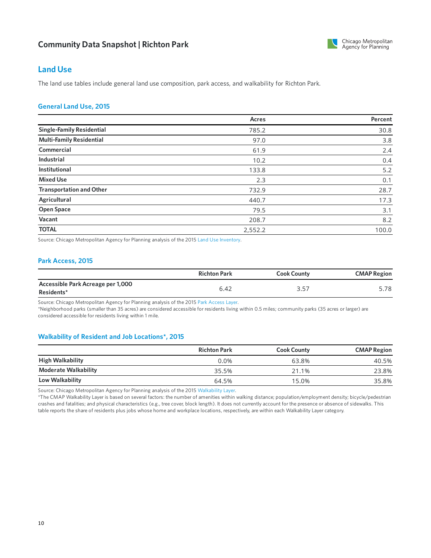

## **Land Use**

The land use tables include general land use composition, park access, and walkability for Richton Park.

## **GeneralLand Use, 2015**

|                                  | Acres   | Percent |
|----------------------------------|---------|---------|
| <b>Single-Family Residential</b> | 785.2   | 30.8    |
| <b>Multi-Family Residential</b>  | 97.0    | 3.8     |
| Commercial                       | 61.9    | 2.4     |
| <b>Industrial</b>                | 10.2    | 0.4     |
| <b>Institutional</b>             | 133.8   | 5.2     |
| <b>Mixed Use</b>                 | 2.3     | 0.1     |
| <b>Transportation and Other</b>  | 732.9   | 28.7    |
| Agricultural                     | 440.7   | 17.3    |
| <b>Open Space</b>                | 79.5    | 3.1     |
| Vacant                           | 208.7   | 8.2     |
| <b>TOTAL</b>                     | 2,552.2 | 100.0   |

Source: Chicago Metropolitan Agency for Planning analysis of the 2015 Land Use [Inventory](https://www.cmap.illinois.gov/data/land-use/inventory).

## **Park Access, 2015**

|                                                 | <b>Richton Park</b> | <b>Cook County</b> | <b>CMAP Region</b> |
|-------------------------------------------------|---------------------|--------------------|--------------------|
| Accessible Park Acreage per 1,000<br>Residents* | 6.42                | マ ヒフ<br>، ب ب      | 5.78               |

Source: Chicago Metropolitan Agency for Planning analysis of the 2015 Park [Access](https://www.cmap.illinois.gov/2050/maps/parks) Layer.

\*Neighborhood parks (smaller than 35 acres) are considered accessible for residents living within 0.5 miles; community parks (35 acres or larger) are considered accessible for residents living within 1 mile.

#### **Walkability of Resident and Job Locations\*, 2015**

|                             | <b>Richton Park</b> | <b>Cook County</b> | <b>CMAP Region</b> |
|-----------------------------|---------------------|--------------------|--------------------|
| <b>High Walkability</b>     | $0.0\%$             | 63.8%              | 40.5%              |
| <b>Moderate Walkability</b> | 35.5%               | 21.1%              | 23.8%              |
| Low Walkability             | 64.5%               | 15.0%              | 35.8%              |

Source: Chicago Metropolitan Agency for Planning analysis of the 2015 [Walkability](https://www.cmap.illinois.gov/2050/maps/walkability) Layer.

\*The CMAP Walkability Layer is based on several factors: the number of amenities within walking distance; population/employment density; bicycle/pedestrian crashes and fatalities; and physical characteristics (e.g., tree cover, block length). It does not currently account for the presence or absence of sidewalks. This table reports the share of residents plus jobs whose home and workplace locations, respectively, are within each Walkability Layer category.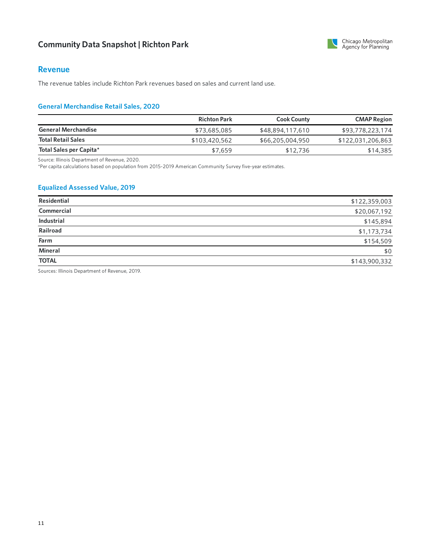

## **Revenue**

The revenue tables include Richton Park revenues based on sales and current land use.

## **General Merchandise Retail Sales, 2020**

|                            | <b>Richton Park</b> | <b>Cook County</b> | <b>CMAP Region</b> |
|----------------------------|---------------------|--------------------|--------------------|
| <b>General Merchandise</b> | \$73,685,085        | \$48,894,117,610   | \$93,778,223,174   |
| <b>Total Retail Sales</b>  | \$103,420,562       | \$66,205,004,950   | \$122,031,206,863  |
| Total Sales per Capita*    | \$7,659             | \$12,736           | \$14,385           |

Source: Illinois Department of Revenue, 2020.

\*Percapita calculations based on population from 2015-2019 American Community Survey five-year estimates.

## **Equalized Assessed Value, 2019**

| Residential       | \$122,359,003 |
|-------------------|---------------|
| Commercial        | \$20,067,192  |
| <b>Industrial</b> | \$145,894     |
| Railroad          | \$1,173,734   |
| Farm              | \$154,509     |
| Mineral           | \$0           |
| <b>TOTAL</b>      | \$143,900,332 |

Sources: Illinois Department of Revenue, 2019.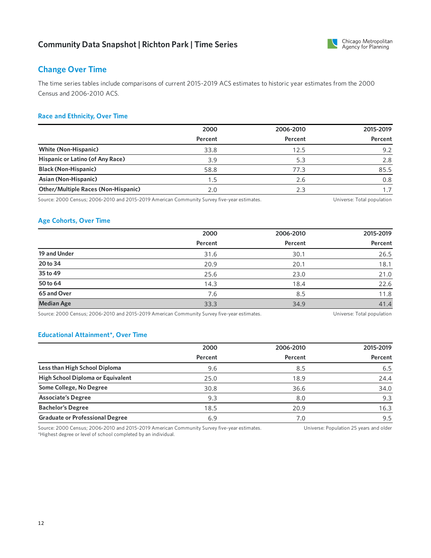

## **Change Over Time**

The time series tables include comparisons of current 2015-2019 ACS estimates to historicyear estimates from the 2000 Census and 2006-2010 ACS.

## **Race and Ethnicity, Over Time**

|                                            | 2000    | 2006-2010 | 2015-2019 |
|--------------------------------------------|---------|-----------|-----------|
|                                            | Percent | Percent   | Percent   |
| <b>White (Non-Hispanic)</b>                | 33.8    | 12.5      | 9.2       |
| Hispanic or Latino (of Any Race)           | 3.9     | 5.3       | 2.8       |
| <b>Black (Non-Hispanic)</b>                | 58.8    | 77.3      | 85.5      |
| Asian (Non-Hispanic)                       | 1.5     | 2.6       | 0.8       |
| <b>Other/Multiple Races (Non-Hispanic)</b> | 2.0     | 2.3       |           |

Source: 2000 Census; 2006-2010 and 2015-2019 American Community Survey five-year estimates. Universe: Total population

## **Age Cohorts, Over Time**

|                   | 2000    | 2006-2010 | 2015-2019 |
|-------------------|---------|-----------|-----------|
|                   | Percent | Percent   | Percent   |
| 19 and Under      | 31.6    | 30.1      | 26.5      |
| 20 to 34          | 20.9    | 20.1      | 18.1      |
| 35 to 49          | 25.6    | 23.0      | 21.0      |
| 50 to 64          | 14.3    | 18.4      | 22.6      |
| 65 and Over       | 7.6     | 8.5       | 11.8      |
| <b>Median Age</b> | 33.3    | 34.9      | 41.4      |

Source: 2000 Census; 2006-2010 and 2015-2019 American Community Survey five-year estimates. Universe: Total population

#### **Educational Attainment\*, Over Time**

|                                        | 2000    | 2006-2010 | 2015-2019 |
|----------------------------------------|---------|-----------|-----------|
|                                        | Percent | Percent   | Percent   |
| Less than High School Diploma          | 9.6     | 8.5       | 6.5       |
| High School Diploma or Equivalent      | 25.0    | 18.9      | 24.4      |
| Some College, No Degree                | 30.8    | 36.6      | 34.0      |
| <b>Associate's Degree</b>              | 9.3     | 8.0       | 9.3       |
| <b>Bachelor's Degree</b>               | 18.5    | 20.9      | 16.3      |
| <b>Graduate or Professional Degree</b> | 6.9     | 7.0       | 9.5       |

Source: 2000 Census; 2006-2010 and 2015-2019 American Community Survey five-year estimates. \*Highest degree or level of school completed by an individual. Universe: Population 25 years and older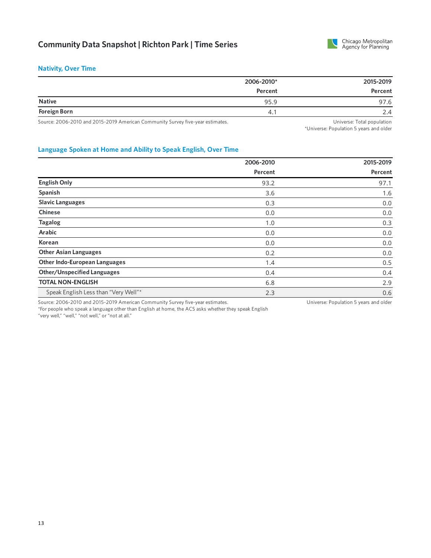

## **Nativity, Over Time**

| 2006-2010* | 2015-2019 |
|------------|-----------|
| Percent    | Percent   |
| 95.9       | 97.6      |
| 4.         | 2.4       |
|            |           |

Source: 2006-2010 and 2015-2019 American Community Survey five-year estimates. 
Universe: Total population
Universe: Total population

\*Universe: Population 5 years and older

## **Language Spoken at Home and Ability to Speak English, Over Time**

|                                                                                | 2006-2010 | 2015-2019                              |
|--------------------------------------------------------------------------------|-----------|----------------------------------------|
|                                                                                | Percent   | Percent                                |
| <b>English Only</b>                                                            | 93.2      | 97.1                                   |
| Spanish                                                                        | 3.6       | 1.6                                    |
| <b>Slavic Languages</b>                                                        | 0.3       | 0.0                                    |
| <b>Chinese</b>                                                                 | 0.0       | 0.0                                    |
| <b>Tagalog</b>                                                                 | 1.0       | 0.3                                    |
| <b>Arabic</b>                                                                  | 0.0       | 0.0                                    |
| Korean                                                                         | 0.0       | 0.0                                    |
| <b>Other Asian Languages</b>                                                   | 0.2       | 0.0                                    |
| <b>Other Indo-European Languages</b>                                           | 1.4       | 0.5                                    |
| <b>Other/Unspecified Languages</b>                                             | 0.4       | 0.4                                    |
| <b>TOTAL NON-ENGLISH</b>                                                       | 6.8       | 2.9                                    |
| Speak English Less than "Very Well"*                                           | 2.3       | 0.6                                    |
| Source: 2006-2010 and 2015-2019 American Community Survey five-year estimates. |           | Universe: Population 5 years and older |

\*For people who speak a language other than English at home, the ACS asks whether they speak English "very well," "well," "not well," or "not at all."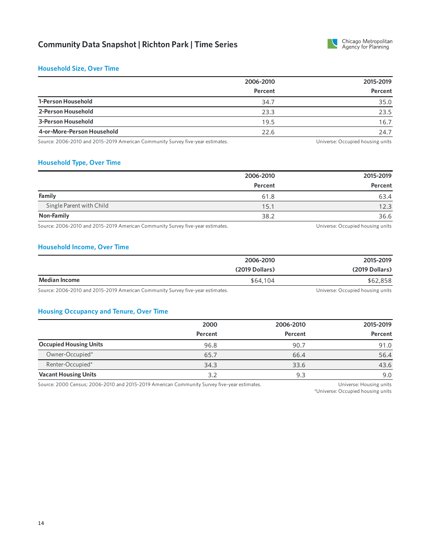

#### **Household Size, Over Time**

|                            | 2006-2010 | 2015-2019 |
|----------------------------|-----------|-----------|
|                            | Percent   | Percent   |
| 1-Person Household         | 34.7      | 35.0      |
| 2-Person Household         | 23.3      | 23.5      |
| 3-Person Household         | 19.5      | 16.7      |
| 4-or-More-Person Household | 22.6      | 24.7      |

Source: 2006-2010 and 2015-2019 American Community Survey five-year estimates. 
Universe: Occupied housing units

## **Household Type, Over Time**

|                          | 2006-2010 |         |
|--------------------------|-----------|---------|
|                          | Percent   | Percent |
| Family                   | 61.8      | 63.4    |
| Single Parent with Child | 15.1      | 12.3    |
| Non-Family               | 38.2      | 36.6    |
|                          |           |         |

Source: 2006-2010 and 2015-2019 American Community Survey five-year estimates. The Manusculi Community Survey five-year estimates.

#### **Household Income, Over Time**

|                                    | 2006-2010      | 2015-2019                                                 |
|------------------------------------|----------------|-----------------------------------------------------------|
|                                    | (2019 Dollars) | (2019 Dollars)                                            |
| <b>Median Income</b>               | \$64,104       | \$62,858                                                  |
| $\sim$<br>$\cdot$ $\sim$<br>$\sim$ |                | $\cdots$ $\sim$ $\cdots$ $\cdots$<br>$\sim$ $\sim$ $\sim$ |

Source: 2006-2010 and 2015-2019 American Community Survey five-year estimates. The Manuscription of the Universe: Occupied housing units

#### **Housing Occupancy and Tenure, Over Time**

|                               | 2000    | 2006-2010 | 2015-2019 |
|-------------------------------|---------|-----------|-----------|
|                               | Percent | Percent   | Percent   |
| <b>Occupied Housing Units</b> | 96.8    | 90.7      | 91.0      |
| Owner-Occupied*               | 65.7    | 66.4      | 56.4      |
| Renter-Occupied*              | 34.3    | 33.6      | 43.6      |
| <b>Vacant Housing Units</b>   | 3.2     | 9.3       | 9.0       |

Source: 2000 Census; 2006-2010 and 2015-2019 American Community Survey five-year estimates. Universe: Housing units

\*Universe: Occupied housing units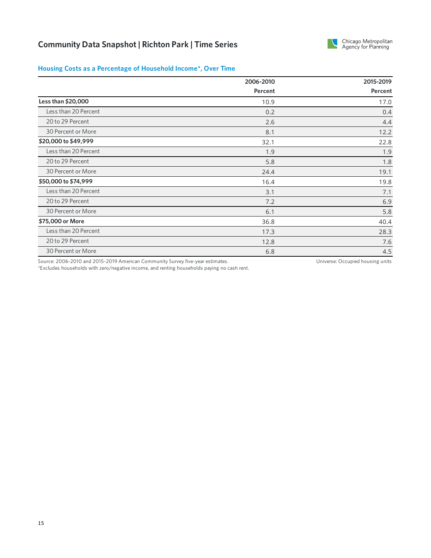

## **Housing Costs as a Percentage of Household Income\*, Over Time**

|                      | 2006-2010 | 2015-2019 |  |
|----------------------|-----------|-----------|--|
|                      | Percent   | Percent   |  |
| Less than \$20,000   | 10.9      | 17.0      |  |
| Less than 20 Percent | 0.2       | 0.4       |  |
| 20 to 29 Percent     | 2.6       | 4.4       |  |
| 30 Percent or More   | 8.1       | 12.2      |  |
| \$20,000 to \$49,999 | 32.1      | 22.8      |  |
| Less than 20 Percent | 1.9       | 1.9       |  |
| 20 to 29 Percent     | 5.8       | 1.8       |  |
| 30 Percent or More   | 24.4      | 19.1      |  |
| \$50,000 to \$74,999 | 16.4      | 19.8      |  |
| Less than 20 Percent | 3.1       | 7.1       |  |
| 20 to 29 Percent     | 7.2       | 6.9       |  |
| 30 Percent or More   | 6.1       | 5.8       |  |
| \$75,000 or More     | 36.8      | 40.4      |  |
| Less than 20 Percent | 17.3      | 28.3      |  |
| 20 to 29 Percent     | 12.8      | 7.6       |  |
| 30 Percent or More   | 6.8       | 4.5       |  |

Source: 2006-2010 and 2015-2019 American Community Survey five-year estimates.

Universe: Occupied housing units

\*Excludes households with zero/negative income, and renting households paying no cash rent.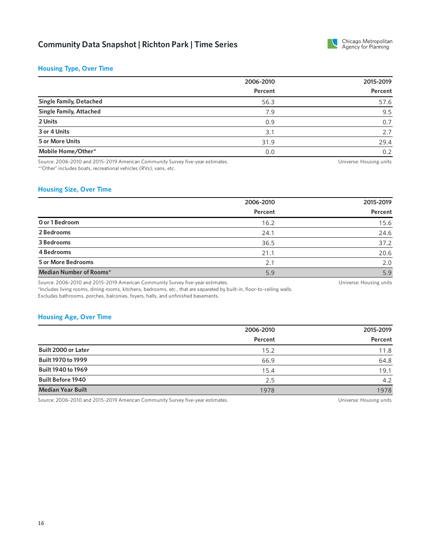

## **Housing Type, Over Time**

|                                                                                                                 | 2006-2010 | 2015-2019 |
|-----------------------------------------------------------------------------------------------------------------|-----------|-----------|
|                                                                                                                 | Percent   | Percent   |
| <b>Single Family, Detached</b>                                                                                  | 56.3      | 57.6      |
| <b>Single Family, Attached</b>                                                                                  | 7.9       | 9.5       |
| 2 Units                                                                                                         | 0.9       | 0.7       |
| 3 or 4 Units                                                                                                    | 3.1       | 2.7       |
| 5 or More Units                                                                                                 | 31.9      | 29.4      |
| Mobile Home/Other*                                                                                              | 0.0       | 0.2       |
| the contract of the contract of the contract of the contract of the contract of the contract of the contract of |           |           |

Source: 2006-2010 and 2015-2019 American Community Survey five-year estimates. \*"Other" includes boats, recreational vehicles (RVs), vans, etc.

Universe: Housing units

## **Housing Size, Over Time**

|                           | 2006-2010 | 2015-2019 |
|---------------------------|-----------|-----------|
|                           | Percent   | Percent   |
| O or 1 Bedroom            | 16.2      | 15.6      |
| 2 Bedrooms                | 24.1      | 24.6      |
| 3 Bedrooms                | 36.5      | 37.2      |
| 4 Bedrooms                | 21.1      | 20.6      |
| <b>5 or More Bedrooms</b> | 2.1       | 2.0       |
| Median Number of Rooms*   | 5.9       | 5.9       |

Source: 2006-2010 and 2015-2019 American Community Survey five-year estimates.

Universe: Housing units

\*Includes living rooms, dining rooms, kitchens, bedrooms, etc., that are separated by built-in, floor-to-ceiling walls. Excludes bathrooms, porches, balconies, foyers, halls, and unfinished basements.

#### **Housing Age, Over Time**

|                           | 2006-2010 | 2015-2019 |
|---------------------------|-----------|-----------|
|                           | Percent   | Percent   |
| Built 2000 or Later       | 15.2      | 11.8      |
| <b>Built 1970 to 1999</b> | 66.9      | 64.8      |
| Built 1940 to 1969        | 15.4      | 19.1      |
| <b>Built Before 1940</b>  | 2.5       | 4.2       |
| <b>Median Year Built</b>  | 1978      | 1978      |

Source: 2006-2010 and 2015-2019 American Community Survey five-year estimates. 
Universe: Housing units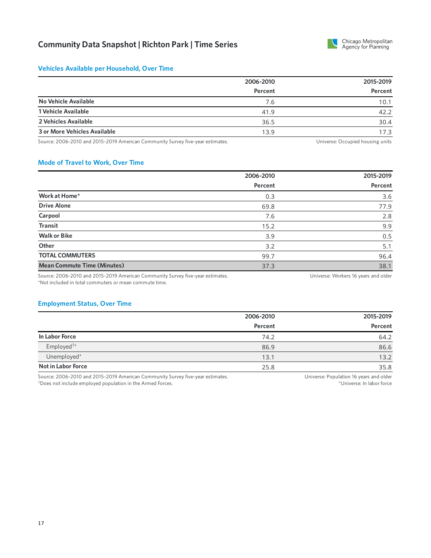

## **Vehicles Available per Household, Over Time**

|                              | 2006-2010 | 2015-2019 |
|------------------------------|-----------|-----------|
|                              | Percent   | Percent   |
| No Vehicle Available         | 7.6       | 10.1      |
| 1 Vehicle Available          | 41.9      | 42.2      |
| 2 Vehicles Available         | 36.5      | 30.4      |
| 3 or More Vehicles Available | 13.9      | 17.3      |

Source: 2006-2010 and 2015-2019 American Community Survey five-year estimates. 
Universe: Occupied housing units

#### **Mode of Travel to Work, Over Time**

|                                    | 2006-2010 | 2015-2019 |
|------------------------------------|-----------|-----------|
|                                    | Percent   | Percent   |
| Work at Home*                      | 0.3       | 3.6       |
| <b>Drive Alone</b>                 | 69.8      | 77.9      |
| Carpool                            | 7.6       | 2.8       |
| <b>Transit</b>                     | 15.2      | 9.9       |
| <b>Walk or Bike</b>                | 3.9       | 0.5       |
| Other                              | 3.2       | 5.1       |
| <b>TOTAL COMMUTERS</b>             | 99.7      | 96.4      |
| <b>Mean Commute Time (Minutes)</b> | 37.3      | 38.1      |

Source: 2006-2010 and 2015-2019 American Community Survey five-year estimates. \*Not included in total commuters or mean commute time.

Universe: Workers 16 years and older

#### **Employment Status, Over Time**

|                        | 2006-2010 | 2015-2019 |
|------------------------|-----------|-----------|
|                        | Percent   | Percent   |
| In Labor Force         | 74.2      | 64.2      |
| Employed <sup>†*</sup> | 86.9      | 86.6      |
| Unemployed*            | 13.1      | 13.2      |
| Not in Labor Force     | 25.8      | 35.8      |

Source: 2006-2010 and 2015-2019 American Community Survey five-year estimates. Does not include employed population in the Armed Forces. †

Universe: Population 16 years and older \*Universe: In labor force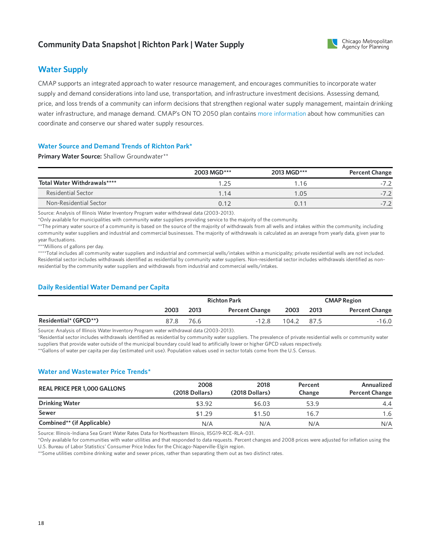## **Community Data Snapshot | Richton Park | Water Supply**



## **Water Supply**

CMAP supports an integrated approach to water resource management, and encourages communities to incorporate water supply and demand considerations into land use, transportation, and infrastructure investment decisions. Assessing demand, price, and loss trends of a community can inform decisions that strengthen regional water supply management, maintain drinking water infrastructure, and manage demand. CMAP's ON TO 2050 plan contains more [information](https://www.cmap.illinois.gov/2050/environment/water-supply#water-planning) about how communities can coordinate and conserve our shared water supply resources.

## **Water Source and Demand Trends of Richton Park\***

**Primary Water Source:** Shallow Groundwater\*\*

|                             | 2003 MGD*** | 2013 MGD***   | <b>Percent Change</b> |
|-----------------------------|-------------|---------------|-----------------------|
| Total Water Withdrawals**** | 1.25        | .16           | $-7.2$                |
| Residential Sector          | 1.14        | $^{\circ}.05$ | $-7.2$                |
| Non-Residential Sector      | 0 1 2       | 0.1           | $-7.2$                |

Source: Analysis of Illinois Water Inventory Program water withdrawal data (2003-2013).

\*Only available for municipalities with community water suppliers providing service to the majority of the community.

\*\*The primary water source of a community is based on the source of the majority of withdrawals from all wells and intakes within the community, including community water suppliers and industrial and commercial businesses. The majority of withdrawals is calculated as an average from yearly data, given year to year fluctuations.

\*\*\*Millions of gallons per day.

\*\*\*\*Total includes all community water suppliers and industrial and commercial wells/intakes within a municipality; private residential wells are not included. Residential sector includes withdrawals identified as residential by community water suppliers. Non-residential sector includes withdrawals identified as nonresidential by the community water suppliers and withdrawals from industrial and commercial wells/intakes.

## **Daily Residential Water Demand per Capita**

|                       |      | <b>Richton Park</b> |                       |       |      | <b>CMAP Region</b>    |
|-----------------------|------|---------------------|-----------------------|-------|------|-----------------------|
|                       | 2003 | 2013                | <b>Percent Change</b> | 2003  | 2013 | <b>Percent Change</b> |
| Residential* (GPCD**) | 87.8 | 76.6                | $-12.8$               | 104.2 | 87.5 | $-16.0$               |

Source: Analysis of Illinois Water Inventory Program water withdrawal data (2003-2013).

\*Residential sector includes withdrawals identified as residential by community water suppliers. The prevalence of private residential wells orcommunity water suppliers that provide water outside of the municipal boundary could lead to artificially lower or higher GPCD values respectively.

\*\*Gallons of water percapita per day (estimated unit use). Population values used in sector totals come from the U.S. Census.

## **Water and Wastewater Price Trends\***

| <b>REAL PRICE PER 1,000 GALLONS</b> | 2008<br>(2018 Dollars) | 2018<br>(2018 Dollars) | Percent<br>Change | Annualized<br><b>Percent Change</b> |
|-------------------------------------|------------------------|------------------------|-------------------|-------------------------------------|
| <b>Drinking Water</b>               | \$3.92                 | \$6.03                 | 53.9              | 4.4                                 |
| Sewer                               | \$1.29                 | \$1.50                 | 16.7              | 1.6                                 |
| Combined** (if Applicable)          | N/A                    | N/A                    | N/A               | N/A                                 |

Source: Illinois-Indiana Sea Grant Water Rates Data for Northeastern Illinois, IISG19-RCE-RLA-031.

\*Only available forcommunities with water utilities and that responded to data requests. Percent changes and 2008 prices were adjusted for inflation using the U.S. Bureau of Labor Statistics' Consumer Price Index for the Chicago-Naperville-Elgin region.

\*\*Some utilities combine drinking water and sewer prices, rather than separating them out as two distinct rates.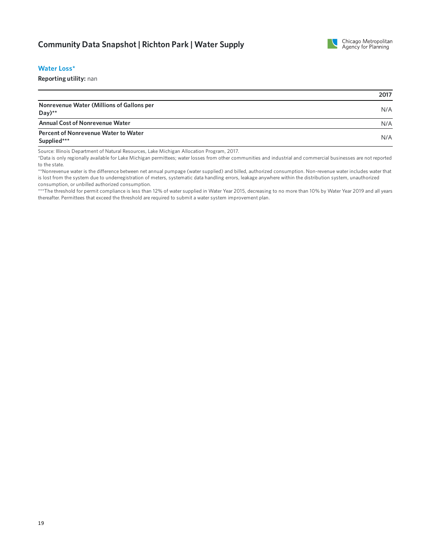

#### **WaterLoss\***

**Reporting utility:** nan

|                                                      | 2017 |
|------------------------------------------------------|------|
| Nonrevenue Water (Millions of Gallons per<br>$Day**$ | N/A  |
| <b>Annual Cost of Nonrevenue Water</b>               | N/A  |
| Percent of Nonrevenue Water to Water<br>Supplied***  | N/A  |

Source: Illinois Department of Natural Resources, Lake Michigan Allocation Program, 2017.

\*Data is only regionally available forLake Michigan permittees; water losses from othercommunities and industrial and commercial businesses are not reported to the state.

\*\*Nonrevenue water is the difference between net annual pumpage (water supplied) and billed, authorized consumption. Non-revenue water includes water that is lost from the system due to underregistration of meters, systematic data handling errors, leakage anywhere within the distribution system, unauthorized consumption, or unbilled authorized consumption.

\*\*\*The threshold for permit compliance is less than 12% of water supplied in Water Year 2015, decreasing to no more than 10% by Water Year 2019 and all years thereafter. Permittees that exceed the threshold are required to submit a water system improvement plan.